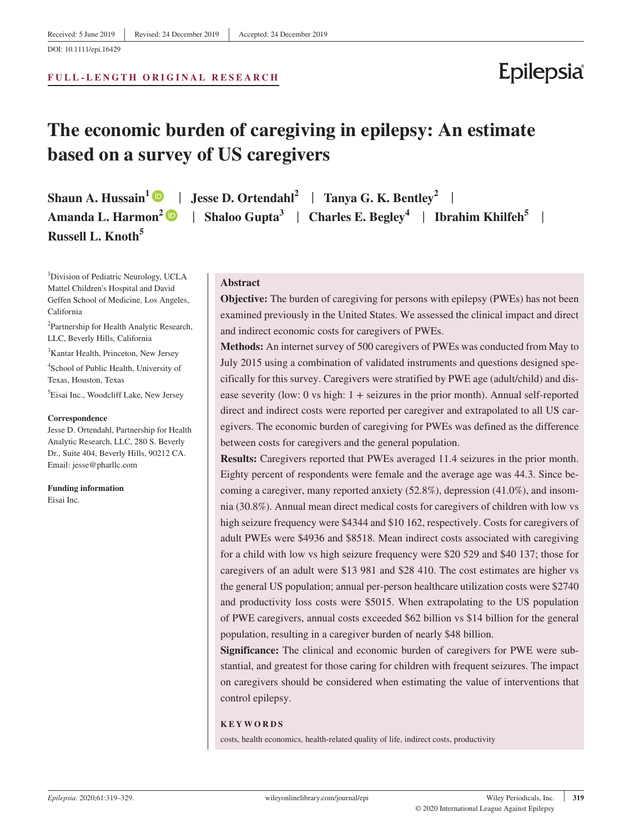# California

<sup>2</sup>Partnership for Health Analytic Research, LLC, Beverly Hills, California

<sup>1</sup>Division of Pediatric Neurology, UCLA Mattel Children's Hospital and David Geffen School of Medicine, Los Angeles,

3 Kantar Health, Princeton, New Jersey

4 School of Public Health, University of Texas, Houston, Texas

5 Eisai Inc., Woodcliff Lake, New Jersey

#### **Correspondence**

Jesse D. Ortendahl, Partnership for Health Analytic Research, LLC, 280 S. Beverly Dr., Suite 404, Beverly Hills, 90212 CA. Email: [jesse@pharllc.com](mailto:jesse@pharllc.com)

**Funding information** Eisai Inc.

## **Abstract**

**Objective:** The burden of caregiving for persons with epilepsy (PWEs) has not been examined previously in the United States. We assessed the clinical impact and direct and indirect economic costs for caregivers of PWEs.

**Methods:** An internet survey of 500 caregivers of PWEs was conducted from May to July 2015 using a combination of validated instruments and questions designed specifically for this survey. Caregivers were stratified by PWE age (adult/child) and disease severity (low: 0 vs high:  $1 +$  seizures in the prior month). Annual self-reported direct and indirect costs were reported per caregiver and extrapolated to all US caregivers. The economic burden of caregiving for PWEs was defined as the difference between costs for caregivers and the general population.

**Results:** Caregivers reported that PWEs averaged 11.4 seizures in the prior month. Eighty percent of respondents were female and the average age was 44.3. Since becoming a caregiver, many reported anxiety (52.8%), depression (41.0%), and insomnia (30.8%). Annual mean direct medical costs for caregivers of children with low vs high seizure frequency were \$4344 and \$10 162, respectively. Costs for caregivers of adult PWEs were \$4936 and \$8518. Mean indirect costs associated with caregiving for a child with low vs high seizure frequency were \$20 529 and \$40 137; those for caregivers of an adult were \$13 981 and \$28 410. The cost estimates are higher vs the general US population; annual per-person healthcare utilization costs were \$2740 and productivity loss costs were \$5015. When extrapolating to the US population of PWE caregivers, annual costs exceeded \$62 billion vs \$14 billion for the general population, resulting in a caregiver burden of nearly \$48 billion.

**Significance:** The clinical and economic burden of caregivers for PWE were substantial, and greatest for those caring for children with frequent seizures. The impact on caregivers should be considered when estimating the value of interventions that control epilepsy.

#### **KEYWORDS**

costs, health economics, health-related quality of life, indirect costs, productivity

# DOI: 10.1111/epi.16429

#### **FULL-LENGTH ORIGINAL RESEARCH**

# **The economic burden of caregiving in epilepsy: An estimate based on a survey of US caregivers**

**Russell L. Knoth5**

**Shaun A. Hussain**<sup>1</sup> **D**  $\parallel$  **Jesse D. Ortendahl**<sup>2</sup>  $\parallel$  **Tanya G. K. Bentley**<sup>2</sup>  $\parallel$ **Amanda L. Harmon**<sup>[2](https://orcid.org/0000-0002-3779-9528)</sup>  $\bullet$  | Shaloo Gupta<sup>3</sup> | Charles E. Begley<sup>4</sup> | Ibrahim Khilfeh<sup>5</sup> |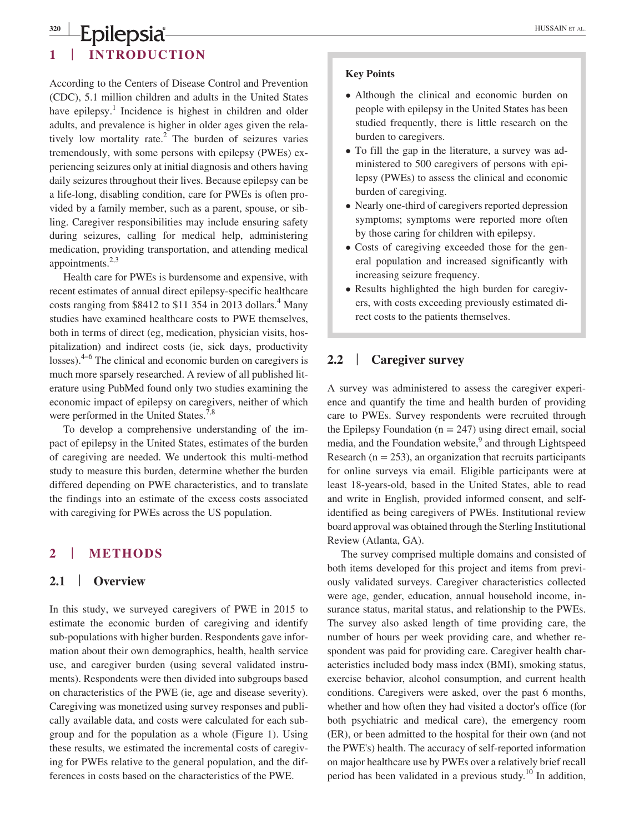## **<sup>320</sup> <sup>|</sup>** HUSSAIN et al. **1** | **INTRODUCTION**

According to the Centers of Disease Control and Prevention (CDC), 5.1 million children and adults in the United States have epilepsy.<sup>1</sup> Incidence is highest in children and older adults, and prevalence is higher in older ages given the relatively low mortality rate.<sup>2</sup> The burden of seizures varies tremendously, with some persons with epilepsy (PWEs) experiencing seizures only at initial diagnosis and others having daily seizures throughout their lives. Because epilepsy can be a life-long, disabling condition, care for PWEs is often provided by a family member, such as a parent, spouse, or sibling. Caregiver responsibilities may include ensuring safety during seizures, calling for medical help, administering medication, providing transportation, and attending medical appointments. $2,3$ 

Health care for PWEs is burdensome and expensive, with recent estimates of annual direct epilepsy-specific healthcare costs ranging from \$8412 to \$11 354 in 2013 dollars.<sup>4</sup> Many studies have examined healthcare costs to PWE themselves, both in terms of direct (eg, medication, physician visits, hospitalization) and indirect costs (ie, sick days, productivity losses). $4-6$  The clinical and economic burden on caregivers is much more sparsely researched. A review of all published literature using PubMed found only two studies examining the economic impact of epilepsy on caregivers, neither of which were performed in the United States.<sup>7,8</sup>

To develop a comprehensive understanding of the impact of epilepsy in the United States, estimates of the burden of caregiving are needed. We undertook this multi-method study to measure this burden, determine whether the burden differed depending on PWE characteristics, and to translate the findings into an estimate of the excess costs associated with caregiving for PWEs across the US population.

# **2** | **METHODS**

## **2.1** | **Overview**

In this study, we surveyed caregivers of PWE in 2015 to estimate the economic burden of caregiving and identify sub-populations with higher burden. Respondents gave information about their own demographics, health, health service use, and caregiver burden (using several validated instruments). Respondents were then divided into subgroups based on characteristics of the PWE (ie, age and disease severity). Caregiving was monetized using survey responses and publically available data, and costs were calculated for each subgroup and for the population as a whole (Figure 1). Using these results, we estimated the incremental costs of caregiving for PWEs relative to the general population, and the differences in costs based on the characteristics of the PWE.

#### **Key Points**

- Although the clinical and economic burden on people with epilepsy in the United States has been studied frequently, there is little research on the burden to caregivers.
- To fill the gap in the literature, a survey was administered to 500 caregivers of persons with epilepsy (PWEs) to assess the clinical and economic burden of caregiving.
- Nearly one-third of caregivers reported depression symptoms; symptoms were reported more often by those caring for children with epilepsy.
- Costs of caregiving exceeded those for the general population and increased significantly with increasing seizure frequency.
- Results highlighted the high burden for caregivers, with costs exceeding previously estimated direct costs to the patients themselves.

# **2.2** | **Caregiver survey**

A survey was administered to assess the caregiver experience and quantify the time and health burden of providing care to PWEs. Survey respondents were recruited through the Epilepsy Foundation  $(n = 247)$  using direct email, social media, and the Foundation website,<sup>9</sup> and through Lightspeed Research ( $n = 253$ ), an organization that recruits participants for online surveys via email. Eligible participants were at least 18-years-old, based in the United States, able to read and write in English, provided informed consent, and selfidentified as being caregivers of PWEs. Institutional review board approval was obtained through the Sterling Institutional Review (Atlanta, GA).

The survey comprised multiple domains and consisted of both items developed for this project and items from previously validated surveys. Caregiver characteristics collected were age, gender, education, annual household income, insurance status, marital status, and relationship to the PWEs. The survey also asked length of time providing care, the number of hours per week providing care, and whether respondent was paid for providing care. Caregiver health characteristics included body mass index (BMI), smoking status, exercise behavior, alcohol consumption, and current health conditions. Caregivers were asked, over the past 6 months, whether and how often they had visited a doctor's office (for both psychiatric and medical care), the emergency room (ER), or been admitted to the hospital for their own (and not the PWE's) health. The accuracy of self-reported information on major healthcare use by PWEs over a relatively brief recall period has been validated in a previous study.<sup>10</sup> In addition,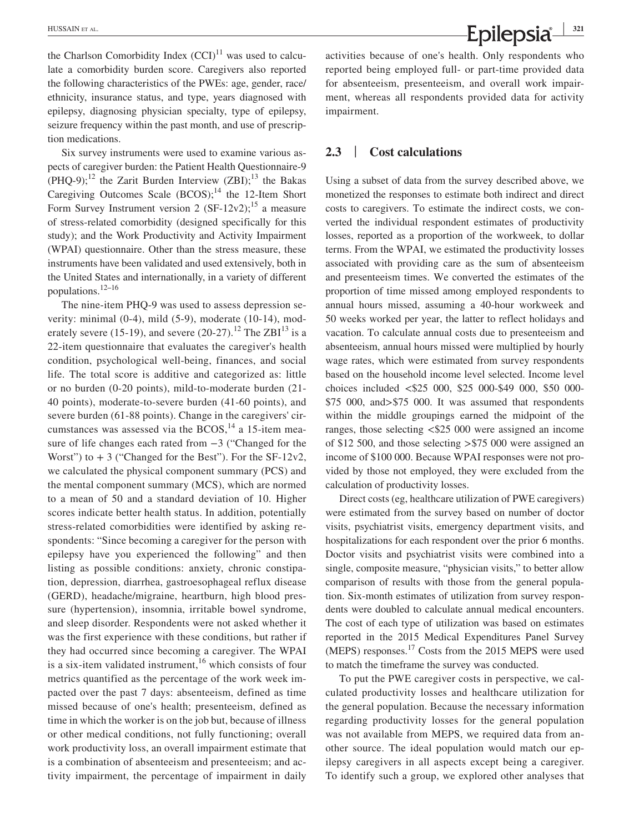the Charlson Comorbidity Index  $(CCD)^{11}$  was used to calculate a comorbidity burden score. Caregivers also reported the following characteristics of the PWEs: age, gender, race/ ethnicity, insurance status, and type, years diagnosed with epilepsy, diagnosing physician specialty, type of epilepsy, seizure frequency within the past month, and use of prescription medications.

Six survey instruments were used to examine various aspects of caregiver burden: the Patient Health Questionnaire-9  $(PHQ-9);^{12}$  the Zarit Burden Interview  $(ZBI);^{13}$  the Bakas Caregiving Outcomes Scale  $(BCOS)$ ;<sup>14</sup> the 12-Item Short Form Survey Instrument version 2  $(SF-12v2)$ ;<sup>15</sup> a measure of stress-related comorbidity (designed specifically for this study); and the Work Productivity and Activity Impairment (WPAI) questionnaire. Other than the stress measure, these instruments have been validated and used extensively, both in the United States and internationally, in a variety of different populations.<sup>12-16</sup>

The nine-item PHQ-9 was used to assess depression severity: minimal (0-4), mild (5-9), moderate (10-14), moderately severe (15-19), and severe (20-27).<sup>12</sup> The ZBI<sup>13</sup> is a 22-item questionnaire that evaluates the caregiver's health condition, psychological well-being, finances, and social life. The total score is additive and categorized as: little or no burden (0-20 points), mild-to-moderate burden (21- 40 points), moderate-to-severe burden (41-60 points), and severe burden (61-88 points). Change in the caregivers' circumstances was assessed via the  $BCOS$ ,<sup>14</sup> a 15-item measure of life changes each rated from −3 ("Changed for the Worst") to  $+3$  ("Changed for the Best"). For the SF-12v2, we calculated the physical component summary (PCS) and the mental component summary (MCS), which are normed to a mean of 50 and a standard deviation of 10. Higher scores indicate better health status. In addition, potentially stress-related comorbidities were identified by asking respondents: "Since becoming a caregiver for the person with epilepsy have you experienced the following" and then listing as possible conditions: anxiety, chronic constipation, depression, diarrhea, gastroesophageal reflux disease (GERD), headache/migraine, heartburn, high blood pressure (hypertension), insomnia, irritable bowel syndrome, and sleep disorder. Respondents were not asked whether it was the first experience with these conditions, but rather if they had occurred since becoming a caregiver. The WPAI is a six-item validated instrument,<sup>16</sup> which consists of four metrics quantified as the percentage of the work week impacted over the past 7 days: absenteeism, defined as time missed because of one's health; presenteeism, defined as time in which the worker is on the job but, because of illness or other medical conditions, not fully functioning; overall work productivity loss, an overall impairment estimate that is a combination of absenteeism and presenteeism; and activity impairment, the percentage of impairment in daily

activities because of one's health. Only respondents who reported being employed full- or part-time provided data for absenteeism, presenteeism, and overall work impairment, whereas all respondents provided data for activity impairment.

## **2.3** | **Cost calculations**

Using a subset of data from the survey described above, we monetized the responses to estimate both indirect and direct costs to caregivers. To estimate the indirect costs, we converted the individual respondent estimates of productivity losses, reported as a proportion of the workweek, to dollar terms. From the WPAI, we estimated the productivity losses associated with providing care as the sum of absenteeism and presenteeism times. We converted the estimates of the proportion of time missed among employed respondents to annual hours missed, assuming a 40-hour workweek and 50 weeks worked per year, the latter to reflect holidays and vacation. To calculate annual costs due to presenteeism and absenteeism, annual hours missed were multiplied by hourly wage rates, which were estimated from survey respondents based on the household income level selected. Income level choices included <\$25 000, \$25 000-\$49 000, \$50 000- \$75 000, and>\$75 000. It was assumed that respondents within the middle groupings earned the midpoint of the ranges, those selecting <\$25 000 were assigned an income of \$12 500, and those selecting >\$75 000 were assigned an income of \$100 000. Because WPAI responses were not provided by those not employed, they were excluded from the calculation of productivity losses.

Direct costs (eg, healthcare utilization of PWE caregivers) were estimated from the survey based on number of doctor visits, psychiatrist visits, emergency department visits, and hospitalizations for each respondent over the prior 6 months. Doctor visits and psychiatrist visits were combined into a single, composite measure, "physician visits," to better allow comparison of results with those from the general population. Six-month estimates of utilization from survey respondents were doubled to calculate annual medical encounters. The cost of each type of utilization was based on estimates reported in the 2015 Medical Expenditures Panel Survey (MEPS) responses.17 Costs from the 2015 MEPS were used to match the timeframe the survey was conducted.

To put the PWE caregiver costs in perspective, we calculated productivity losses and healthcare utilization for the general population. Because the necessary information regarding productivity losses for the general population was not available from MEPS, we required data from another source. The ideal population would match our epilepsy caregivers in all aspects except being a caregiver. To identify such a group, we explored other analyses that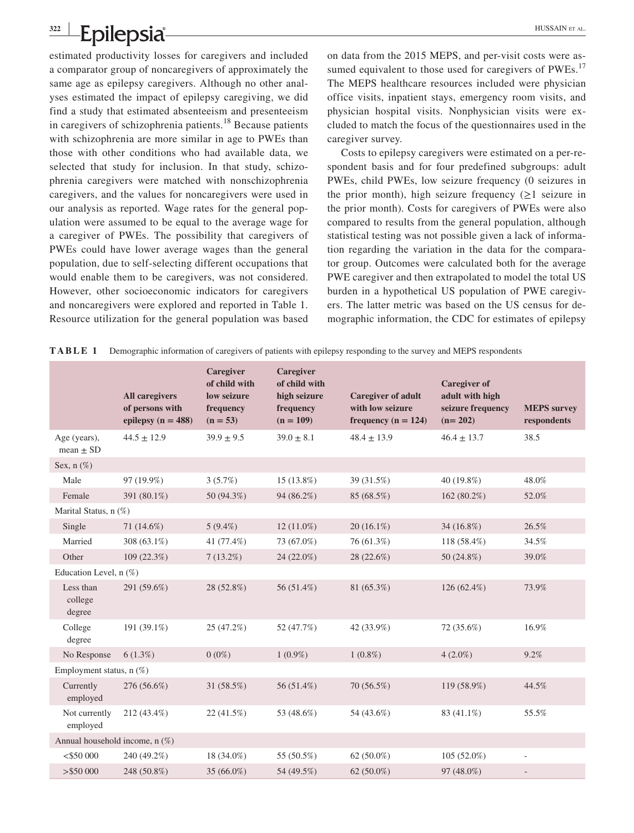#### **<sup>322</sup> <sup>|</sup> Epilepsia Epilepsia Bullet and Constant and Constant and Constant and Constant and Constant and Constant and Constant and Constant and Constant and Constant and Constant and Constant and Constant and Constant and Cons**

estimated productivity losses for caregivers and included a comparator group of noncaregivers of approximately the same age as epilepsy caregivers. Although no other analyses estimated the impact of epilepsy caregiving, we did find a study that estimated absenteeism and presenteeism in caregivers of schizophrenia patients.<sup>18</sup> Because patients with schizophrenia are more similar in age to PWEs than those with other conditions who had available data, we selected that study for inclusion. In that study, schizophrenia caregivers were matched with nonschizophrenia caregivers, and the values for noncaregivers were used in our analysis as reported. Wage rates for the general population were assumed to be equal to the average wage for a caregiver of PWEs. The possibility that caregivers of PWEs could have lower average wages than the general population, due to self-selecting different occupations that would enable them to be caregivers, was not considered. However, other socioeconomic indicators for caregivers and noncaregivers were explored and reported in Table 1. Resource utilization for the general population was based

on data from the 2015 MEPS, and per-visit costs were assumed equivalent to those used for caregivers of PWEs.<sup>17</sup> The MEPS healthcare resources included were physician office visits, inpatient stays, emergency room visits, and physician hospital visits. Nonphysician visits were excluded to match the focus of the questionnaires used in the caregiver survey.

Costs to epilepsy caregivers were estimated on a per-respondent basis and for four predefined subgroups: adult PWEs, child PWEs, low seizure frequency (0 seizures in the prior month), high seizure frequency (≥1 seizure in the prior month). Costs for caregivers of PWEs were also compared to results from the general population, although statistical testing was not possible given a lack of information regarding the variation in the data for the comparator group. Outcomes were calculated both for the average PWE caregiver and then extrapolated to model the total US burden in a hypothetical US population of PWE caregivers. The latter metric was based on the US census for demographic information, the CDC for estimates of epilepsy

|  |  | <b>TABLE 1</b> Demographic information of caregivers of patients with epilepsy responding to the survey and MEPS respondents |
|--|--|------------------------------------------------------------------------------------------------------------------------------|
|  |  |                                                                                                                              |

|                                | <b>All caregivers</b><br>of persons with<br>epilepsy ( $n = 488$ ) | Caregiver<br>of child with<br>low seizure<br>frequency<br>$(n = 53)$ | <b>Caregiver</b><br>of child with<br>high seizure<br>frequency<br>$(n = 109)$ | <b>Caregiver of adult</b><br>with low seizure<br>frequency ( $n = 124$ ) | <b>Caregiver of</b><br>adult with high<br>seizure frequency<br>$(n=202)$ | <b>MEPS</b> survey<br>respondents |  |
|--------------------------------|--------------------------------------------------------------------|----------------------------------------------------------------------|-------------------------------------------------------------------------------|--------------------------------------------------------------------------|--------------------------------------------------------------------------|-----------------------------------|--|
| Age (years),<br>mean $\pm$ SD  | $44.5 \pm 12.9$                                                    | $39.9 \pm 9.5$                                                       | $39.0 \pm 8.1$                                                                | $48.4 \pm 13.9$                                                          | $46.4 \pm 13.7$                                                          | 38.5                              |  |
| Sex, $n$ $(\%)$                |                                                                    |                                                                      |                                                                               |                                                                          |                                                                          |                                   |  |
| Male                           | 97 (19.9%)                                                         | 3(5.7%)                                                              | 15 (13.8%)                                                                    | 39 (31.5%)                                                               | $40(19.8\%)$                                                             | 48.0%                             |  |
| Female                         | 391 (80.1%)                                                        | 50 (94.3%)                                                           | 94 (86.2%)                                                                    | 85 (68.5%)                                                               | 162 (80.2%)                                                              | 52.0%                             |  |
| Marital Status, n (%)          |                                                                    |                                                                      |                                                                               |                                                                          |                                                                          |                                   |  |
| Single                         | 71 (14.6%)                                                         | $5(9.4\%)$                                                           | $12(11.0\%)$                                                                  | $20(16.1\%)$                                                             | 34 (16.8%)                                                               | 26.5%                             |  |
| Married                        | 308 (63.1%)                                                        | 41 (77.4%)                                                           | 73 (67.0%)                                                                    | 76 (61.3%)                                                               | 118 (58.4%)                                                              | 34.5%                             |  |
| Other                          | 109 (22.3%)                                                        | $7(13.2\%)$                                                          | 24 (22.0%)                                                                    | 28 (22.6%)                                                               | 50 (24.8%)                                                               | 39.0%                             |  |
| Education Level, n (%)         |                                                                    |                                                                      |                                                                               |                                                                          |                                                                          |                                   |  |
| Less than<br>college<br>degree | 291 (59.6%)                                                        | 28 (52.8%)                                                           | 56 (51.4%)                                                                    | 81 (65.3%)                                                               | $126(62.4\%)$                                                            | 73.9%                             |  |
| College<br>degree              | 191 (39.1%)                                                        | 25 (47.2%)                                                           | 52 (47.7%)                                                                    | 42 (33.9%)                                                               | 72 (35.6%)                                                               | 16.9%                             |  |
| No Response                    | $6(1.3\%)$                                                         | $0(0\%)$                                                             | $1(0.9\%)$                                                                    | $1(0.8\%)$                                                               | $4(2.0\%)$                                                               | 9.2%                              |  |
| Employment status, $n$ (%)     |                                                                    |                                                                      |                                                                               |                                                                          |                                                                          |                                   |  |
| Currently<br>employed          | 276 (56.6%)                                                        | 31 (58.5%)                                                           | 56 (51.4%)                                                                    | 70 (56.5%)                                                               | 119 (58.9%)                                                              | 44.5%                             |  |
| Not currently<br>employed      | 212 (43.4%)                                                        | 22(41.5%)                                                            | 53 (48.6%)                                                                    | 54 (43.6%)                                                               | 83 (41.1%)                                                               | 55.5%                             |  |
| Annual household income, n (%) |                                                                    |                                                                      |                                                                               |                                                                          |                                                                          |                                   |  |
| $<$ \$50 000                   | 240 (49.2%)                                                        | 18 (34.0%)                                                           | 55 (50.5%)                                                                    | $62(50.0\%)$                                                             | $105(52.0\%)$                                                            | ÷,                                |  |
| > \$50000                      | 248 (50.8%)                                                        | 35 (66.0%)                                                           | 54 (49.5%)                                                                    | 62 $(50.0\%)$                                                            | 97 (48.0%)                                                               |                                   |  |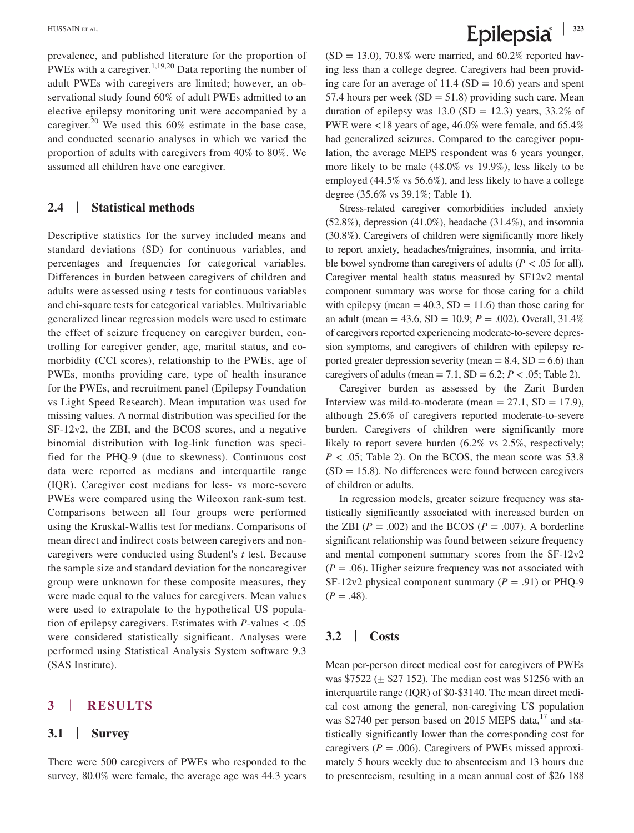prevalence, and published literature for the proportion of PWEs with a caregiver.<sup>1,19,20</sup> Data reporting the number of adult PWEs with caregivers are limited; however, an observational study found 60% of adult PWEs admitted to an elective epilepsy monitoring unit were accompanied by a caregiver.<sup>20</sup> We used this  $60\%$  estimate in the base case, and conducted scenario analyses in which we varied the proportion of adults with caregivers from 40% to 80%. We assumed all children have one caregiver.

#### **2.4** | **Statistical methods**

Descriptive statistics for the survey included means and standard deviations (SD) for continuous variables, and percentages and frequencies for categorical variables. Differences in burden between caregivers of children and adults were assessed using *t* tests for continuous variables and chi-square tests for categorical variables. Multivariable generalized linear regression models were used to estimate the effect of seizure frequency on caregiver burden, controlling for caregiver gender, age, marital status, and comorbidity (CCI scores), relationship to the PWEs, age of PWEs, months providing care, type of health insurance for the PWEs, and recruitment panel (Epilepsy Foundation vs Light Speed Research). Mean imputation was used for missing values. A normal distribution was specified for the SF-12v2, the ZBI, and the BCOS scores, and a negative binomial distribution with log-link function was specified for the PHQ-9 (due to skewness). Continuous cost data were reported as medians and interquartile range (IQR). Caregiver cost medians for less- vs more-severe PWEs were compared using the Wilcoxon rank-sum test. Comparisons between all four groups were performed using the Kruskal-Wallis test for medians. Comparisons of mean direct and indirect costs between caregivers and noncaregivers were conducted using Student's *t* test. Because the sample size and standard deviation for the noncaregiver group were unknown for these composite measures, they were made equal to the values for caregivers. Mean values were used to extrapolate to the hypothetical US population of epilepsy caregivers. Estimates with *P*-values < .05 were considered statistically significant. Analyses were performed using Statistical Analysis System software 9.3 (SAS Institute).

### **3** | **RESULTS**

#### **3.1** | **Survey**

There were 500 caregivers of PWEs who responded to the survey, 80.0% were female, the average age was 44.3 years  $(SD = 13.0)$ , 70.8% were married, and 60.2% reported having less than a college degree. Caregivers had been providing care for an average of  $11.4$  (SD = 10.6) years and spent 57.4 hours per week  $(SD = 51.8)$  providing such care. Mean duration of epilepsy was  $13.0$  (SD = 12.3) years,  $33.2\%$  of PWE were <18 years of age, 46.0% were female, and 65.4% had generalized seizures. Compared to the caregiver population, the average MEPS respondent was 6 years younger, more likely to be male (48.0% vs 19.9%), less likely to be employed (44.5% vs 56.6%), and less likely to have a college degree (35.6% vs 39.1%; Table 1).

Stress-related caregiver comorbidities included anxiety  $(52.8\%)$ , depression  $(41.0\%)$ , headache  $(31.4\%)$ , and insomnia (30.8%). Caregivers of children were significantly more likely to report anxiety, headaches/migraines, insomnia, and irritable bowel syndrome than caregivers of adults ( $P < .05$  for all). Caregiver mental health status measured by SF12v2 mental component summary was worse for those caring for a child with epilepsy (mean  $= 40.3$ , SD  $= 11.6$ ) than those caring for an adult (mean = 43.6, SD = 10.9; *P* = .002). Overall, 31.4% of caregivers reported experiencing moderate-to-severe depression symptoms, and caregivers of children with epilepsy reported greater depression severity (mean  $= 8.4$ , SD  $= 6.6$ ) than caregivers of adults (mean  $= 7.1$ , SD  $= 6.2$ ;  $P < .05$ ; Table 2).

Caregiver burden as assessed by the Zarit Burden Interview was mild-to-moderate (mean  $= 27.1$ , SD  $= 17.9$ ), although 25.6% of caregivers reported moderate-to-severe burden. Caregivers of children were significantly more likely to report severe burden (6.2% vs 2.5%, respectively;  $P < .05$ ; Table 2). On the BCOS, the mean score was 53.8  $(SD = 15.8)$ . No differences were found between caregivers of children or adults.

In regression models, greater seizure frequency was statistically significantly associated with increased burden on the ZBI  $(P = .002)$  and the BCOS  $(P = .007)$ . A borderline significant relationship was found between seizure frequency and mental component summary scores from the SF-12v2  $(P = .06)$ . Higher seizure frequency was not associated with SF-12v2 physical component summary  $(P = .91)$  or PHQ-9  $(P=.48).$ 

## **3.2** | **Costs**

Mean per-person direct medical cost for caregivers of PWEs was  $$7522 (\pm $27 152)$ . The median cost was \$1256 with an interquartile range (IQR) of \$0-\$3140. The mean direct medical cost among the general, non-caregiving US population was \$2740 per person based on 2015 MEPS data, $^{17}$  and statistically significantly lower than the corresponding cost for caregivers ( $P = .006$ ). Caregivers of PWEs missed approximately 5 hours weekly due to absenteeism and 13 hours due to presenteeism, resulting in a mean annual cost of \$26 188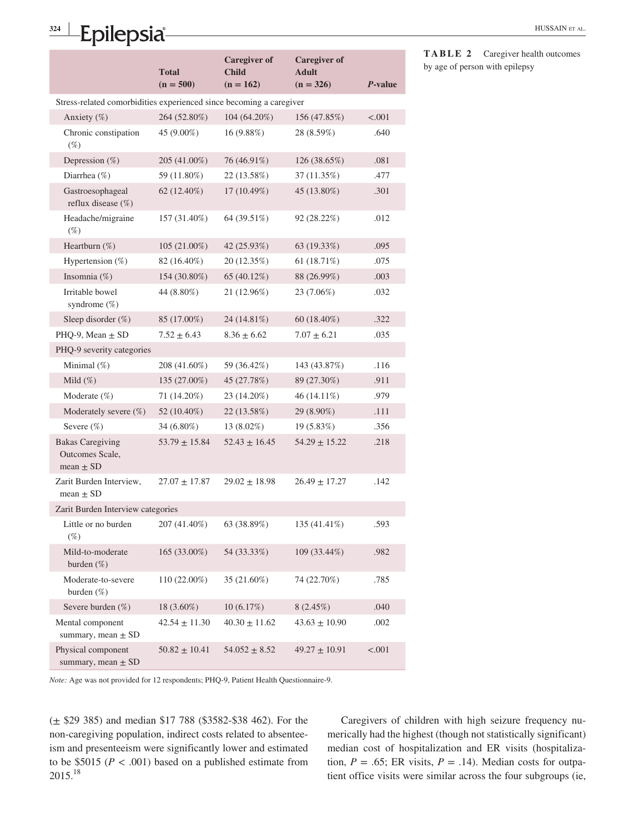# **<sup>324</sup> <sup>|</sup>** Epilepsia<sup>n</sup>

|                                                                     | Total<br>$(n = 500)$ | <b>Caregiver of</b><br><b>Child</b><br>$(n = 162)$ | <b>Caregiver of</b><br><b>Adult</b><br>$(n = 326)$ | P-value |  |  |  |
|---------------------------------------------------------------------|----------------------|----------------------------------------------------|----------------------------------------------------|---------|--|--|--|
| Stress-related comorbidities experienced since becoming a caregiver |                      |                                                    |                                                    |         |  |  |  |
| Anxiety (%)                                                         | 264 (52.80%)         | 104 (64.20%)                                       | 156 (47.85%)                                       | < .001  |  |  |  |
| Chronic constipation<br>$(\%)$                                      | 45 (9.00%)           | 16 (9.88%)                                         | 28 (8.59%)                                         | .640    |  |  |  |
| Depression $(\%)$                                                   | 205 (41.00%)         | 76 (46.91%)                                        | 126 (38.65%)                                       | .081    |  |  |  |
| Diarrhea $(\%)$                                                     | 59 (11.80%)          | 22 (13.58%)                                        | 37 (11.35%)                                        | .477    |  |  |  |
| Gastroesophageal<br>reflux disease (%)                              | $62(12.40\%)$        | $17(10.49\%)$                                      | 45 (13.80%)                                        | .301    |  |  |  |
| Headache/migraine<br>$(\%)$                                         | 157 (31.40%)         | 64 (39.51%)                                        | 92 (28.22%)                                        | .012    |  |  |  |
| Heartburn (%)                                                       | $105(21.00\%)$       | 42 (25.93%)                                        | 63 (19.33%)                                        | .095    |  |  |  |
| Hypertension $(\%)$                                                 | 82 (16.40%)          | 20 (12.35%)                                        | 61 $(18.71\%)$                                     | .075    |  |  |  |
| Insomnia (%)                                                        | 154 (30.80%)         | 65 (40.12%)                                        | 88 (26.99%)                                        | .003    |  |  |  |
| Irritable bowel<br>syndrome (%)                                     | 44 (8.80%)           | 21 (12.96%)                                        | 23 (7.06%)                                         | .032    |  |  |  |
| Sleep disorder $(\%)$                                               | 85 (17.00%)          | 24 (14.81%)                                        | 60 (18.40%)                                        | .322    |  |  |  |
| PHO-9, Mean $\pm$ SD                                                | $7.52 \pm 6.43$      | $8.36 \pm 6.62$                                    | $7.07 \pm 6.21$                                    | .035    |  |  |  |
| PHQ-9 severity categories                                           |                      |                                                    |                                                    |         |  |  |  |
| Minimal $(\%)$                                                      | 208 (41.60%)         | 59 (36.42%)                                        | 143 (43.87%)                                       | .116    |  |  |  |
| Mild $(\%)$                                                         | 135 (27.00%)         | 45 (27.78%)                                        | 89 (27.30%)                                        | .911    |  |  |  |
| Moderate $(\%)$                                                     | 71 (14.20%)          | 23 (14.20%)                                        | 46 (14.11%)                                        | .979    |  |  |  |
| Moderately severe (%)                                               | 52 (10.40%)          | 22 (13.58%)                                        | 29 (8.90%)                                         | .111    |  |  |  |
| Severe $(\%)$                                                       | 34 (6.80%)           | 13 (8.02%)                                         | 19 (5.83%)                                         | .356    |  |  |  |
| <b>Bakas Caregiving</b><br>Outcomes Scale,<br>mean $\pm$ SD         | $53.79 \pm 15.84$    | $52.43 \pm 16.45$                                  | $54.29 \pm 15.22$                                  | .218    |  |  |  |
| Zarit Burden Interview,<br>mean $\pm$ SD                            | $27.07 \pm 17.87$    | $29.02 \pm 18.98$                                  | $26.49 \pm 17.27$                                  | .142    |  |  |  |
| Zarit Burden Interview categories                                   |                      |                                                    |                                                    |         |  |  |  |
| Little or no burden<br>$(\%)$                                       | 207 (41.40%)         | 63 (38.89%)                                        | 135 (41.41%)                                       | .593    |  |  |  |
| Mild-to-moderate<br>burden $(\%)$                                   | 165 (33.00%)         | 54 (33.33%)                                        | 109 (33.44%)                                       | .982    |  |  |  |
| Moderate-to-severe<br>burden $(\%)$                                 | $110(22.00\%)$       | 35 (21.60%)                                        | 74 (22.70%)                                        | .785    |  |  |  |
| Severe burden $(\%)$                                                | 18 (3.60%)           | 10(6.17%)                                          | 8(2.45%)                                           | .040    |  |  |  |
| Mental component<br>summary, mean $\pm$ SD                          | $42.54 \pm 11.30$    | $40.30 \pm 11.62$                                  | $43.63 \pm 10.90$                                  | .002    |  |  |  |
| Physical component<br>summary, mean $\pm$ SD                        | $50.82 \pm 10.41$    | $54.052 \pm 8.52$                                  | $49.27 \pm 10.91$                                  | < .001  |  |  |  |

#### **TABLE 2** Caregiver health outcomes by age of person with epilepsy

*Note:* Age was not provided for 12 respondents; PHQ-9, Patient Health Questionnaire-9.

(± \$29 385) and median \$17 788 (\$3582-\$38 462). For the non-caregiving population, indirect costs related to absenteeism and presenteeism were significantly lower and estimated to be  $$5015 (P < .001)$  based on a published estimate from 2015.18

Caregivers of children with high seizure frequency numerically had the highest (though not statistically significant) median cost of hospitalization and ER visits (hospitalization,  $P = .65$ ; ER visits,  $P = .14$ ). Median costs for outpatient office visits were similar across the four subgroups (ie,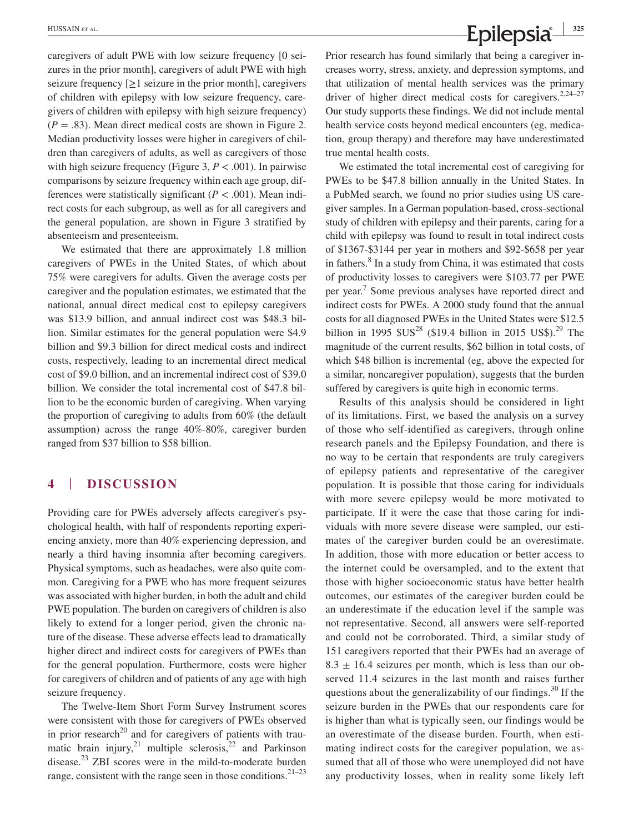caregivers of adult PWE with low seizure frequency [0 seizures in the prior month], caregivers of adult PWE with high seizure frequency  $[\geq 1]$  seizure in the prior month, caregivers of children with epilepsy with low seizure frequency, caregivers of children with epilepsy with high seizure frequency)  $(P = .83)$ . Mean direct medical costs are shown in Figure 2. Median productivity losses were higher in caregivers of children than caregivers of adults, as well as caregivers of those with high seizure frequency (Figure 3, *P* < .001). In pairwise comparisons by seizure frequency within each age group, differences were statistically significant ( $P < .001$ ). Mean indirect costs for each subgroup, as well as for all caregivers and the general population, are shown in Figure 3 stratified by absenteeism and presenteeism.

We estimated that there are approximately 1.8 million caregivers of PWEs in the United States, of which about 75% were caregivers for adults. Given the average costs per caregiver and the population estimates, we estimated that the national, annual direct medical cost to epilepsy caregivers was \$13.9 billion, and annual indirect cost was \$48.3 billion. Similar estimates for the general population were \$4.9 billion and \$9.3 billion for direct medical costs and indirect costs, respectively, leading to an incremental direct medical cost of \$9.0 billion, and an incremental indirect cost of \$39.0 billion. We consider the total incremental cost of \$47.8 billion to be the economic burden of caregiving. When varying the proportion of caregiving to adults from 60% (the default assumption) across the range 40%-80%, caregiver burden ranged from \$37 billion to \$58 billion.

## **4** | **DISCUSSION**

Providing care for PWEs adversely affects caregiver's psychological health, with half of respondents reporting experiencing anxiety, more than 40% experiencing depression, and nearly a third having insomnia after becoming caregivers. Physical symptoms, such as headaches, were also quite common. Caregiving for a PWE who has more frequent seizures was associated with higher burden, in both the adult and child PWE population. The burden on caregivers of children is also likely to extend for a longer period, given the chronic nature of the disease. These adverse effects lead to dramatically higher direct and indirect costs for caregivers of PWEs than for the general population. Furthermore, costs were higher for caregivers of children and of patients of any age with high seizure frequency.

The Twelve-Item Short Form Survey Instrument scores were consistent with those for caregivers of PWEs observed in prior research<sup>20</sup> and for caregivers of patients with traumatic brain injury,<sup>21</sup> multiple sclerosis, $2^2$  and Parkinson disease.<sup>23</sup> ZBI scores were in the mild-to-moderate burden range, consistent with the range seen in those conditions. $21-23$ 

Prior research has found similarly that being a caregiver increases worry, stress, anxiety, and depression symptoms, and that utilization of mental health services was the primary driver of higher direct medical costs for caregivers.<sup>2,24–27</sup> Our study supports these findings. We did not include mental health service costs beyond medical encounters (eg, medication, group therapy) and therefore may have underestimated true mental health costs.

We estimated the total incremental cost of caregiving for PWEs to be \$47.8 billion annually in the United States. In a PubMed search, we found no prior studies using US caregiver samples. In a German population-based, cross-sectional study of children with epilepsy and their parents, caring for a child with epilepsy was found to result in total indirect costs of \$1367-\$3144 per year in mothers and \$92-\$658 per year in fathers.<sup>8</sup> In a study from China, it was estimated that costs of productivity losses to caregivers were \$103.77 per PWE per year.<sup>7</sup> Some previous analyses have reported direct and indirect costs for PWEs. A 2000 study found that the annual costs for all diagnosed PWEs in the United States were \$12.5 billion in 1995  $SUS^{28}$  (\$19.4 billion in 2015 US\$).<sup>29</sup> The magnitude of the current results, \$62 billion in total costs, of which \$48 billion is incremental (eg, above the expected for a similar, noncaregiver population), suggests that the burden suffered by caregivers is quite high in economic terms.

Results of this analysis should be considered in light of its limitations. First, we based the analysis on a survey of those who self-identified as caregivers, through online research panels and the Epilepsy Foundation, and there is no way to be certain that respondents are truly caregivers of epilepsy patients and representative of the caregiver population. It is possible that those caring for individuals with more severe epilepsy would be more motivated to participate. If it were the case that those caring for individuals with more severe disease were sampled, our estimates of the caregiver burden could be an overestimate. In addition, those with more education or better access to the internet could be oversampled, and to the extent that those with higher socioeconomic status have better health outcomes, our estimates of the caregiver burden could be an underestimate if the education level if the sample was not representative. Second, all answers were self-reported and could not be corroborated. Third, a similar study of 151 caregivers reported that their PWEs had an average of  $8.3 \pm 16.4$  seizures per month, which is less than our observed 11.4 seizures in the last month and raises further questions about the generalizability of our findings.<sup>30</sup> If the seizure burden in the PWEs that our respondents care for is higher than what is typically seen, our findings would be an overestimate of the disease burden. Fourth, when estimating indirect costs for the caregiver population, we assumed that all of those who were unemployed did not have any productivity losses, when in reality some likely left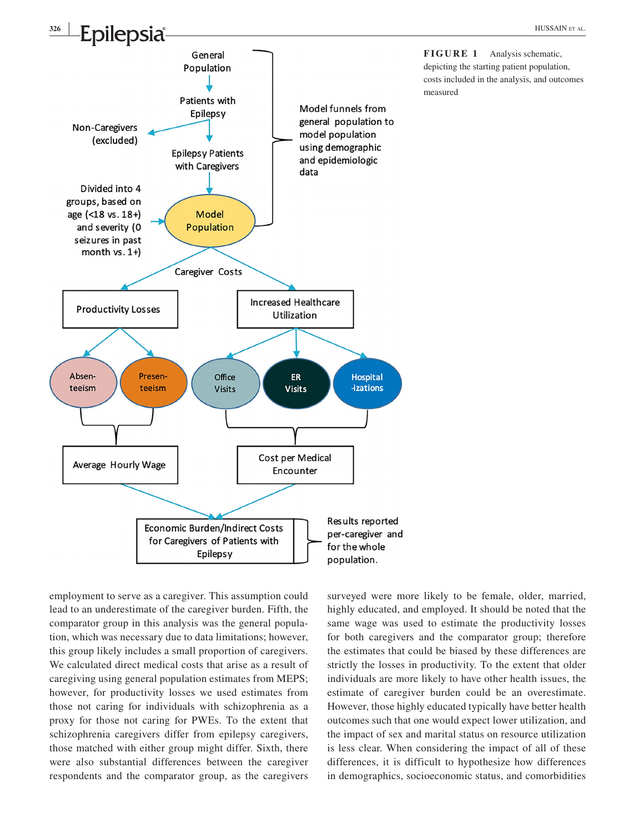

employment to serve as a caregiver. This assumption could lead to an underestimate of the caregiver burden. Fifth, the comparator group in this analysis was the general population, which was necessary due to data limitations; however, this group likely includes a small proportion of caregivers. We calculated direct medical costs that arise as a result of caregiving using general population estimates from MEPS; however, for productivity losses we used estimates from those not caring for individuals with schizophrenia as a proxy for those not caring for PWEs. To the extent that schizophrenia caregivers differ from epilepsy caregivers, those matched with either group might differ. Sixth, there were also substantial differences between the caregiver respondents and the comparator group, as the caregivers

surveyed were more likely to be female, older, married, highly educated, and employed. It should be noted that the same wage was used to estimate the productivity losses for both caregivers and the comparator group; therefore the estimates that could be biased by these differences are strictly the losses in productivity. To the extent that older individuals are more likely to have other health issues, the estimate of caregiver burden could be an overestimate. However, those highly educated typically have better health outcomes such that one would expect lower utilization, and the impact of sex and marital status on resource utilization is less clear. When considering the impact of all of these differences, it is difficult to hypothesize how differences in demographics, socioeconomic status, and comorbidities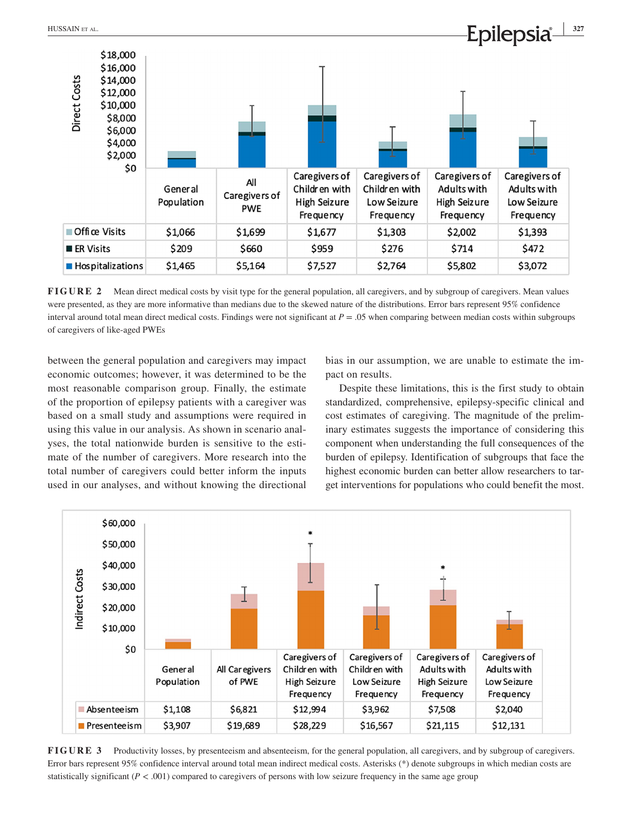

**FIGURE 2** Mean direct medical costs by visit type for the general population, all caregivers, and by subgroup of caregivers. Mean values were presented, as they are more informative than medians due to the skewed nature of the distributions. Error bars represent 95% confidence interval around total mean direct medical costs. Findings were not significant at *P* = .05 when comparing between median costs within subgroups of caregivers of like-aged PWEs

between the general population and caregivers may impact economic outcomes; however, it was determined to be the most reasonable comparison group. Finally, the estimate of the proportion of epilepsy patients with a caregiver was based on a small study and assumptions were required in using this value in our analysis. As shown in scenario analyses, the total nationwide burden is sensitive to the estimate of the number of caregivers. More research into the total number of caregivers could better inform the inputs used in our analyses, and without knowing the directional

bias in our assumption, we are unable to estimate the impact on results.

Despite these limitations, this is the first study to obtain standardized, comprehensive, epilepsy-specific clinical and cost estimates of caregiving. The magnitude of the preliminary estimates suggests the importance of considering this component when understanding the full consequences of the burden of epilepsy. Identification of subgroups that face the highest economic burden can better allow researchers to target interventions for populations who could benefit the most.



**FIGURE 3** Productivity losses, by presenteeism and absenteeism, for the general population, all caregivers, and by subgroup of caregivers. Error bars represent 95% confidence interval around total mean indirect medical costs. Asterisks (\*) denote subgroups in which median costs are statistically significant  $(P < .001)$  compared to caregivers of persons with low seizure frequency in the same age group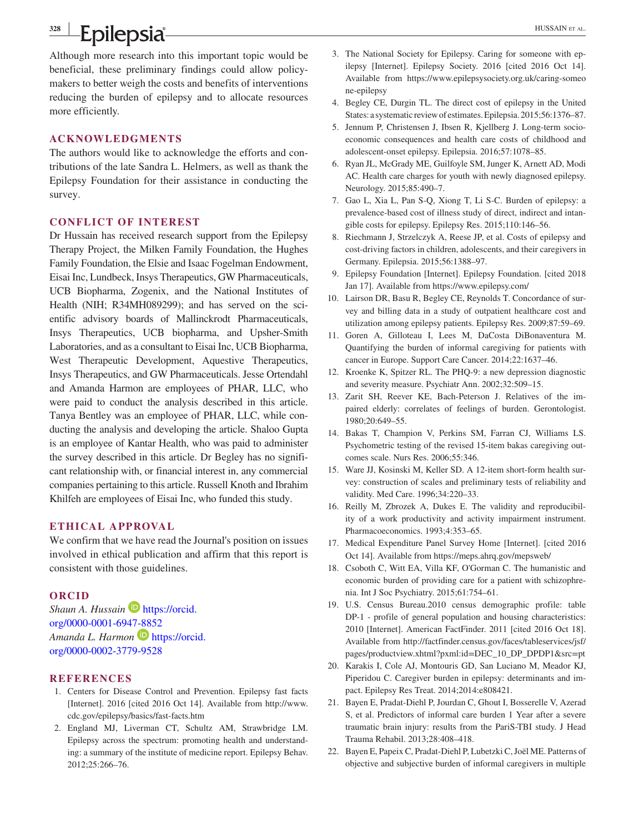## **<sup>328</sup> <sup>|</sup> Epilepsia Busher All Property and All Property Property Research Property Research Property Research Property Research Property Research Property Research Property Research Property Research Property**

Although more research into this important topic would be beneficial, these preliminary findings could allow policymakers to better weigh the costs and benefits of interventions reducing the burden of epilepsy and to allocate resources more efficiently.

#### **ACKNOWLEDGMENTS**

The authors would like to acknowledge the efforts and contributions of the late Sandra L. Helmers, as well as thank the Epilepsy Foundation for their assistance in conducting the survey.

#### **CONFLICT OF INTEREST**

Dr Hussain has received research support from the Epilepsy Therapy Project, the Milken Family Foundation, the Hughes Family Foundation, the Elsie and Isaac Fogelman Endowment, Eisai Inc, Lundbeck, Insys Therapeutics, GW Pharmaceuticals, UCB Biopharma, Zogenix, and the National Institutes of Health (NIH; R34MH089299); and has served on the scientific advisory boards of Mallinckrodt Pharmaceuticals, Insys Therapeutics, UCB biopharma, and Upsher-Smith Laboratories, and as a consultant to Eisai Inc, UCB Biopharma, West Therapeutic Development, Aquestive Therapeutics, Insys Therapeutics, and GW Pharmaceuticals. Jesse Ortendahl and Amanda Harmon are employees of PHAR, LLC, who were paid to conduct the analysis described in this article. Tanya Bentley was an employee of PHAR, LLC, while conducting the analysis and developing the article. Shaloo Gupta is an employee of Kantar Health, who was paid to administer the survey described in this article. Dr Begley has no significant relationship with, or financial interest in, any commercial companies pertaining to this article. Russell Knoth and Ibrahim Khilfeh are employees of Eisai Inc, who funded this study.

#### **ETHICAL APPROVAL**

We confirm that we have read the Journal's position on issues involved in ethical publication and affirm that this report is consistent with those guidelines.

#### **ORCID**

*Shaun A. Hussain* **D** [https://orcid.](https://orcid.org/0000-0001-6947-8852) [org/0000-0001-6947-8852](https://orcid.org/0000-0001-6947-8852) *Amanda L. Harmon* **D** [https://orcid.](https://orcid.org/0000-0002-3779-9528) [org/0000-0002-3779-9528](https://orcid.org/0000-0002-3779-9528)

## **REFERENCES**

- 1. Centers for Disease Control and Prevention. Epilepsy fast facts [Internet]. 2016 [cited 2016 Oct 14]. Available from [http://www.](http://www.cdc.gov/epilepsy/basics/fast-facts.htm) [cdc.gov/epilepsy/basics/fast-facts.htm](http://www.cdc.gov/epilepsy/basics/fast-facts.htm)
- 2. England MJ, Liverman CT, Schultz AM, Strawbridge LM. Epilepsy across the spectrum: promoting health and understanding: a summary of the institute of medicine report. Epilepsy Behav. 2012;25:266–76.
- 3. The National Society for Epilepsy. Caring for someone with epilepsy [Internet]. Epilepsy Society. 2016 [cited 2016 Oct 14]. Available from [https://www.epilepsysociety.org.uk/caring-someo](https://www.epilepsysociety.org.uk/caring-someone-epilepsy) [ne-epilepsy](https://www.epilepsysociety.org.uk/caring-someone-epilepsy)
- 4. Begley CE, Durgin TL. The direct cost of epilepsy in the United States: a systematic review of estimates. Epilepsia. 2015;56:1376–87.
- 5. Jennum P, Christensen J, Ibsen R, Kjellberg J. Long-term socioeconomic consequences and health care costs of childhood and adolescent-onset epilepsy. Epilepsia. 2016;57:1078–85.
- 6. Ryan JL, McGrady ME, Guilfoyle SM, Junger K, Arnett AD, Modi AC. Health care charges for youth with newly diagnosed epilepsy. Neurology. 2015;85:490–7.
- 7. Gao L, Xia L, Pan S-Q, Xiong T, Li S-C. Burden of epilepsy: a prevalence-based cost of illness study of direct, indirect and intangible costs for epilepsy. Epilepsy Res. 2015;110:146–56.
- 8. Riechmann J, Strzelczyk A, Reese JP, et al. Costs of epilepsy and cost-driving factors in children, adolescents, and their caregivers in Germany. Epilepsia. 2015;56:1388–97.
- 9. Epilepsy Foundation [Internet]. Epilepsy Foundation. [cited 2018 Jan 17]. Available from <https://www.epilepsy.com/>
- 10. Lairson DR, Basu R, Begley CE, Reynolds T. Concordance of survey and billing data in a study of outpatient healthcare cost and utilization among epilepsy patients. Epilepsy Res. 2009;87:59–69.
- 11. Goren A, Gilloteau I, Lees M, DaCosta DiBonaventura M. Quantifying the burden of informal caregiving for patients with cancer in Europe. Support Care Cancer. 2014;22:1637–46.
- 12. Kroenke K, Spitzer RL. The PHQ-9: a new depression diagnostic and severity measure. Psychiatr Ann. 2002;32:509–15.
- 13. Zarit SH, Reever KE, Bach-Peterson J. Relatives of the impaired elderly: correlates of feelings of burden. Gerontologist. 1980;20:649–55.
- 14. Bakas T, Champion V, Perkins SM, Farran CJ, Williams LS. Psychometric testing of the revised 15-item bakas caregiving outcomes scale. Nurs Res. 2006;55:346.
- 15. Ware JJ, Kosinski M, Keller SD. A 12-item short-form health survey: construction of scales and preliminary tests of reliability and validity. Med Care. 1996;34:220–33.
- 16. Reilly M, Zbrozek A, Dukes E. The validity and reproducibility of a work productivity and activity impairment instrument. Pharmacoeconomics. 1993;4:353–65.
- 17. Medical Expenditure Panel Survey Home [Internet]. [cited 2016 Oct 14]. Available from <https://meps.ahrq.gov/mepsweb/>
- 18. Csoboth C, Witt EA, Villa KF, O'Gorman C. The humanistic and economic burden of providing care for a patient with schizophrenia. Int J Soc Psychiatry. 2015;61:754–61.
- 19. U.S. Census Bureau.2010 census demographic profile: table DP-1 - profile of general population and housing characteristics: 2010 [Internet]. American FactFinder. 2011 [cited 2016 Oct 18]. Available from [http://factfinder.census.gov/faces/tableservices/jsf/](http://factfinder.census.gov/faces/tableservices/jsf/pages/productview.xhtml?pxml:id=DEC_10_DP_DPDP1&src=pt) [pages/productview.xhtml?pxml:id=DEC\\_10\\_DP\\_DPDP1&src=pt](http://factfinder.census.gov/faces/tableservices/jsf/pages/productview.xhtml?pxml:id=DEC_10_DP_DPDP1&src=pt)
- 20. Karakis I, Cole AJ, Montouris GD, San Luciano M, Meador KJ, Piperidou C. Caregiver burden in epilepsy: determinants and impact. Epilepsy Res Treat. 2014;2014:e808421.
- 21. Bayen E, Pradat-Diehl P, Jourdan C, Ghout I, Bosserelle V, Azerad S, et al. Predictors of informal care burden 1 Year after a severe traumatic brain injury: results from the PariS-TBI study. J Head Trauma Rehabil. 2013;28:408–418.
- 22. Bayen E, Papeix C, Pradat-Diehl P, Lubetzki C, Joël ME. Patterns of objective and subjective burden of informal caregivers in multiple